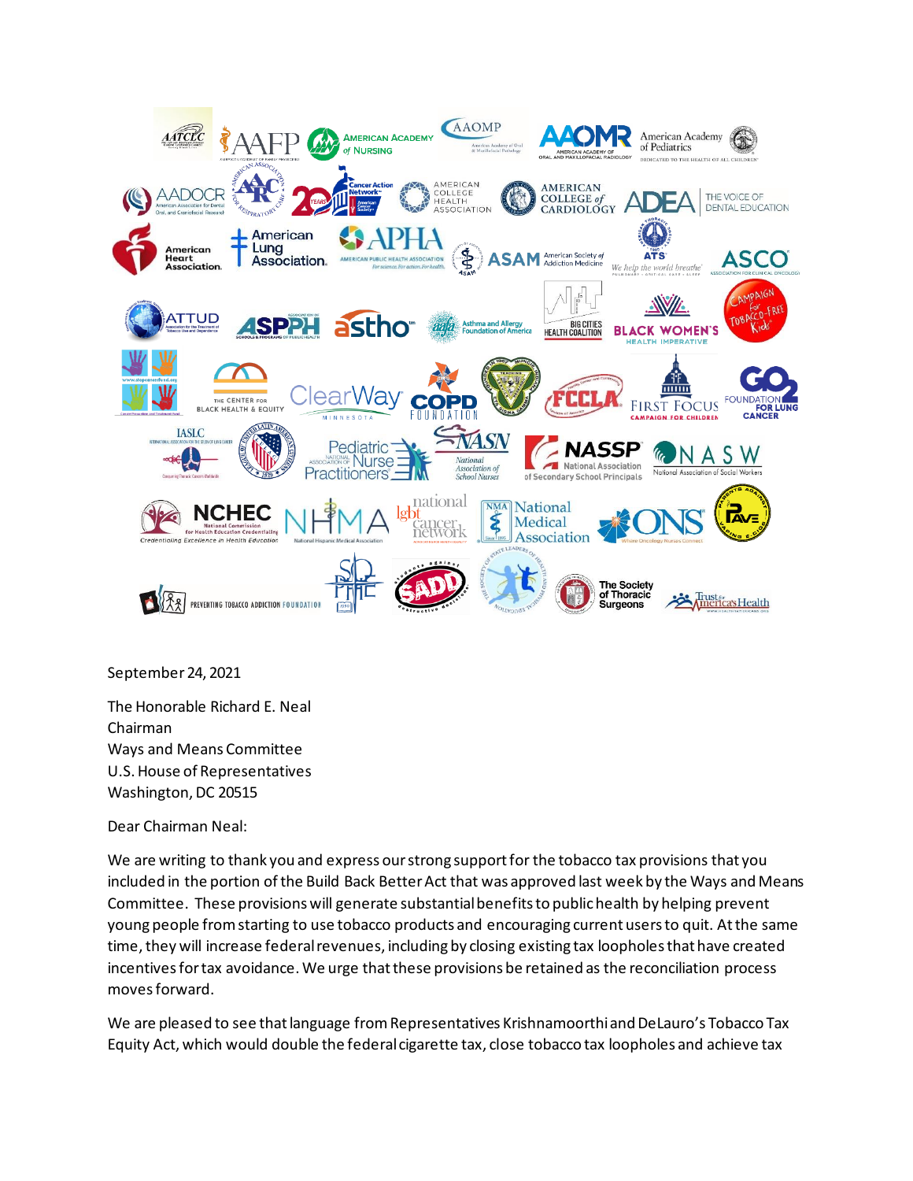

September 24, 2021

The Honorable Richard E. Neal Chairman Ways and Means Committee U.S. House of Representatives Washington, DC 20515

Dear Chairman Neal:

We are writing to thank you and express our strong support for the tobacco tax provisions that you included in the portion of the Build Back Better Act that was approved last week by the Ways and Means Committee. These provisions will generate substantial benefits to public health by helping prevent young people from starting to use tobacco products and encouraging current users to quit. At the same time, they will increase federal revenues, including by closing existing tax loopholes that have created incentives for tax avoidance. We urge that these provisions be retained as the reconciliation process moves forward.

We are pleased to see that language from Representatives Krishnamoorthi and DeLauro's Tobacco Tax Equity Act, which would double the federal cigarette tax, close tobacco tax loopholes and achieve tax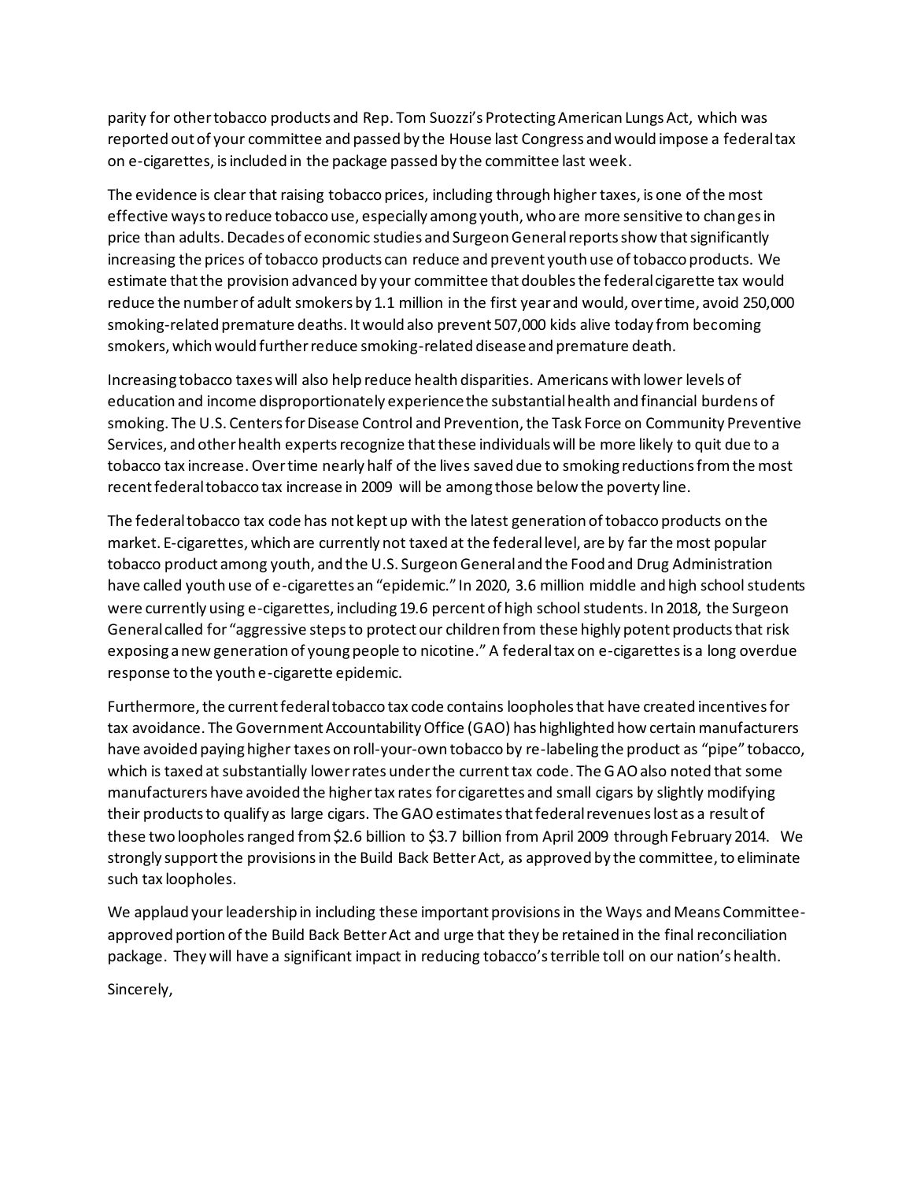parity for other tobacco products and Rep. Tom Suozzi's Protecting American Lungs Act, which was reported out of your committee and passed by the House last Congress and would impose a federal tax on e-cigarettes, is included in the package passed by the committee last week.

The evidence is clear that raising tobacco prices, including through higher taxes, is one of the most effective ways to reduce tobacco use, especially among youth, who are more sensitive to changes in price than adults. Decades of economic studies and Surgeon General reports show that significantly increasing the prices of tobacco products can reduce and prevent youth use of tobacco products. We estimate that the provision advanced by your committee that doubles the federal cigarette tax would reduce the number of adult smokers by 1.1 million in the first year and would, over time, avoid 250,000 smoking-related premature deaths. It would also prevent 507,000 kids alive today from becoming smokers, which would further reduce smoking-related disease and premature death.

Increasing tobacco taxes will also help reduce health disparities. Americans with lower levels of education and income disproportionately experience the substantial health and financial burdens of smoking. The U.S. Centers for Disease Control and Prevention, the Task Force on Community Preventive Services, and other health experts recognize that these individuals will be more likely to quit due to a tobacco tax increase. Over time nearly half of the lives saved due to smoking reductions from the most recent federal tobacco tax increase in 2009 will be among those below the poverty line.

The federal tobacco tax code has not kept up with the latest generation of tobacco products on the market. E-cigarettes, which are currently not taxed at the federal level, are by far the most popular tobacco product among youth, and the U.S. Surgeon General and the Food and Drug Administration have called youth use of e-cigarettes an "epidemic." In 2020, 3.6 million middle and high school students were currently using e-cigarettes, including 19.6 percent of high school students. In 2018, the Surgeon General called for "aggressive steps to protect our children from these highly potent products that risk exposing a new generation of young people to nicotine." A federal tax on e-cigarettes is a long overdue response to the youth e-cigarette epidemic.

Furthermore, the current federal tobacco tax code contains loopholes that have created incentives for tax avoidance. The Government Accountability Office (GAO) has highlighted how certain manufacturers have avoided paying higher taxes on roll-your-own tobacco by re-labeling the product as "pipe" tobacco, which is taxed at substantially lower rates under the current tax code. The GAO also noted that some manufacturers have avoided the higher tax rates for cigarettes and small cigars by slightly modifying their products to qualify as large cigars. The GAO estimates that federal revenues lost as a result of these two loopholes ranged from \$2.6 billion to \$3.7 billion from April 2009 through February 2014. We strongly support the provisions in the Build Back Better Act, as approved by the committee, to eliminate such tax loopholes.

We applaud your leadership in including these important provisionsin the Ways and Means Committeeapproved portion of the Build Back Better Act and urge that they be retained in the final reconciliation package. They will have a significant impact in reducing tobacco's terrible toll on our nation's health.

Sincerely,